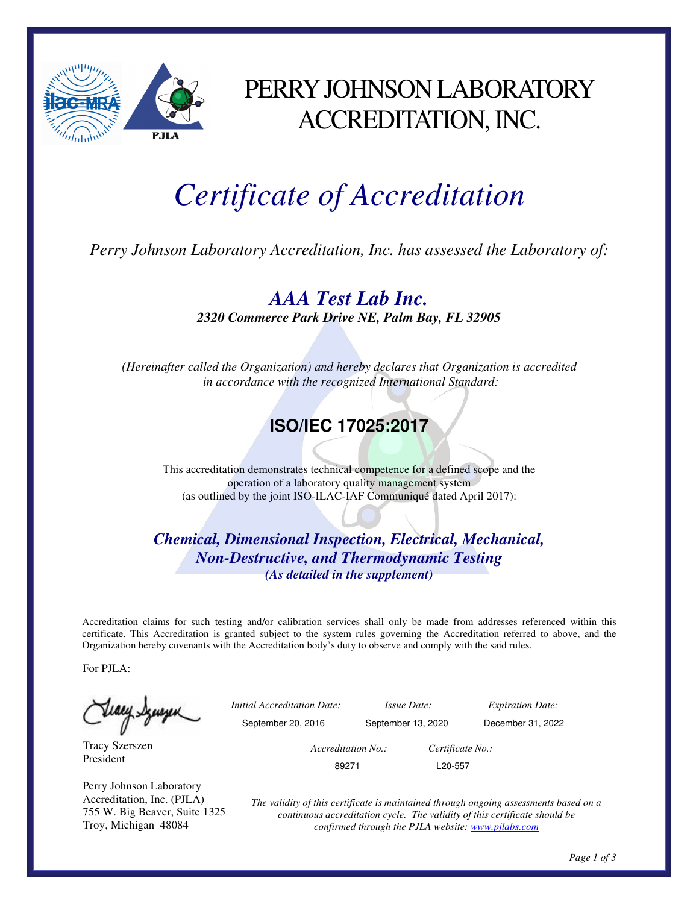

## PERRY JOHNSON LABORATORY ACCREDITATION, INC.

# *Certificate of Accreditation*

*Perry Johnson Laboratory Accreditation, Inc. has assessed the Laboratory of:* 

*AAA Test Lab Inc.* 

*2320 Commerce Park Drive NE, Palm Bay, FL 32905* 

*(Hereinafter called the Organization) and hereby declares that Organization is accredited in accordance with the recognized International Standard:* 

## **ISO/IEC 17025:2017**

This accreditation demonstrates technical competence for a defined scope and the operation of a laboratory quality management system (as outlined by the joint ISO-ILAC-IAF Communiqué dated April 2017):

*Chemical, Dimensional Inspection, Electrical, Mechanical, Non-Destructive, and Thermodynamic Testing (As detailed in the supplement)* 

Accreditation claims for such testing and/or calibration services shall only be made from addresses referenced within this certificate. This Accreditation is granted subject to the system rules governing the Accreditation referred to above, and the Organization hereby covenants with the Accreditation body's duty to observe and comply with the said rules.

For PJLA:

Teacy Syusser

Tracy Szerszen President

Perry Johnson Laboratory Accreditation, Inc. (PJLA) 755 W. Big Beaver, Suite 1325 Troy, Michigan 48084

 *Initial Accreditation Date: Issue Date: Expiration Date:*  September 20, 2016 September 13, 2020 December 31, 2022  *Accreditation No.: Certificate No.:*  89271 L20-557

*The validity of this certificate is maintained through ongoing assessments based on a continuous accreditation cycle. The validity of this certificate should be confirmed through the PJLA website: www.pjlabs.com*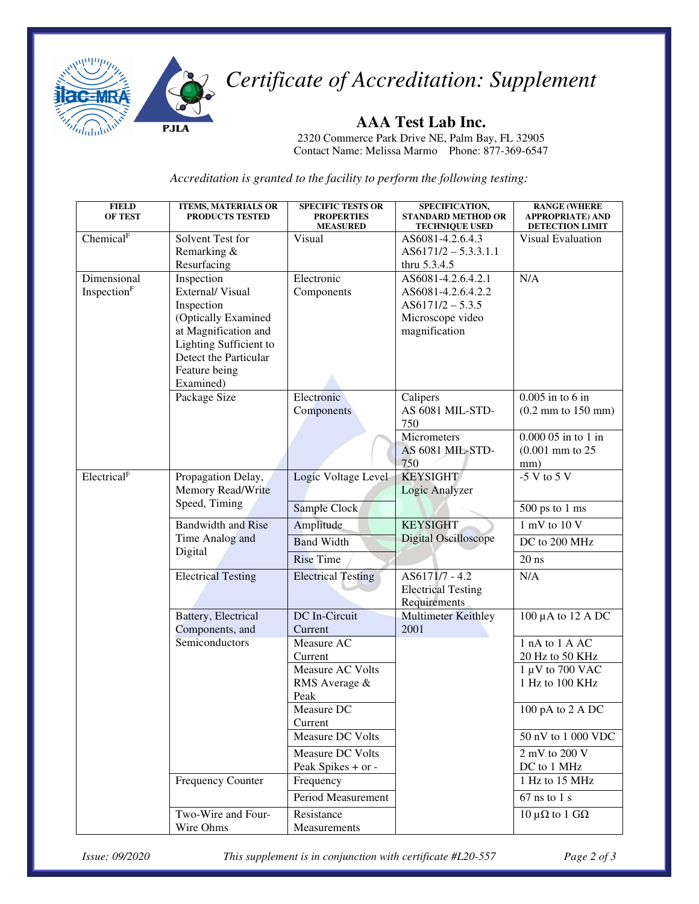

*Certificate of Accreditation: Supplement* 

### **AAA Test Lab Inc.**

2320 Commerce Park Drive NE, Palm Bay, FL 32905 Contact Name: Melissa Marmo Phone: 877-369-6547

*Accreditation is granted to the facility to perform the following testing:* 

| <b>FIELD</b><br><b>OF TEST</b> | <b>ITEMS, MATERIALS OR</b><br>PRODUCTS TESTED | <b>SPECIFIC TESTS OR</b><br><b>PROPERTIES</b><br><b>MEASURED</b> | SPECIFICATION,<br><b>STANDARD METHOD OR</b><br><b>TECHNIQUE USED</b> | <b>RANGE (WHERE</b><br><b>APPROPRIATE) AND</b><br>DETECTION LIMIT |
|--------------------------------|-----------------------------------------------|------------------------------------------------------------------|----------------------------------------------------------------------|-------------------------------------------------------------------|
| Chemical <sup>F</sup>          | Solvent Test for                              | Visual                                                           | AS6081-4.2.6.4.3                                                     | Visual Evaluation                                                 |
|                                | Remarking &                                   |                                                                  | $AS6171/2 - 5.3.3.1.1$                                               |                                                                   |
|                                | Resurfacing                                   |                                                                  | thru 5.3.4.5                                                         |                                                                   |
| Dimensional                    | Inspection                                    | Electronic                                                       | AS6081-4.2.6.4.2.1                                                   | N/A                                                               |
| Inspection <sup>F</sup>        | External/Visual                               | Components                                                       | AS6081-4.2.6.4.2.2                                                   |                                                                   |
|                                | Inspection                                    |                                                                  | $AS6171/2 - 5.3.5$                                                   |                                                                   |
|                                | (Optically Examined                           |                                                                  | Microscope video                                                     |                                                                   |
|                                | at Magnification and                          |                                                                  | magnification                                                        |                                                                   |
|                                | Lighting Sufficient to                        |                                                                  |                                                                      |                                                                   |
|                                | Detect the Particular                         |                                                                  |                                                                      |                                                                   |
|                                | Feature being                                 |                                                                  |                                                                      |                                                                   |
|                                | Examined)                                     |                                                                  |                                                                      |                                                                   |
|                                | Package Size                                  | Electronic                                                       | Calipers                                                             | $0.005$ in to 6 in                                                |
|                                |                                               | Components                                                       | AS 6081 MIL-STD-                                                     | $(0.2 \text{ mm to } 150 \text{ mm})$                             |
|                                |                                               |                                                                  | 750<br>Micrometers                                                   | $0.00005$ in to 1 in                                              |
|                                |                                               |                                                                  | AS 6081 MIL-STD-                                                     | $(0.001$ mm to $25$                                               |
|                                |                                               |                                                                  | 750                                                                  | mm)                                                               |
| Electrical <sup>F</sup>        | Propagation Delay,                            | Logic Voltage Level                                              | <b>KEYSIGHT</b>                                                      | $-5$ V to 5 V                                                     |
|                                | Memory Read/Write                             |                                                                  | Logic Analyzer                                                       |                                                                   |
|                                | Speed, Timing                                 |                                                                  |                                                                      |                                                                   |
|                                |                                               | Sample Clock                                                     |                                                                      | $500$ ps to $1$ ms                                                |
|                                | <b>Bandwidth and Rise</b>                     | Amplitude                                                        | <b>KEYSIGHT</b><br><b>Digital Oscilloscope</b>                       | 1 mV to 10 V                                                      |
|                                | Time Analog and<br>Digital                    | <b>Band Width</b>                                                |                                                                      | DC to 200 MHz                                                     |
|                                |                                               | <b>Rise Time</b>                                                 |                                                                      | $20$ ns                                                           |
|                                | <b>Electrical Testing</b>                     | <b>Electrical Testing</b>                                        | AS6171/7 - 4.2                                                       | N/A                                                               |
|                                |                                               |                                                                  | <b>Electrical Testing</b>                                            |                                                                   |
|                                |                                               |                                                                  | Requirements                                                         |                                                                   |
|                                | Battery, Electrical                           | DC In-Circuit                                                    | <b>Multimeter Keithley</b>                                           | 100 $\mu$ A to 12 A DC                                            |
|                                | Components, and                               | Current                                                          | 2001                                                                 |                                                                   |
|                                | Semiconductors                                | Measure AC                                                       |                                                                      | 1 nA to 1 A AC                                                    |
|                                |                                               | Current                                                          |                                                                      | 20 Hz to 50 KHz                                                   |
|                                |                                               | Measure AC Volts                                                 |                                                                      | $1 \mu V$ to 700 VAC                                              |
|                                |                                               | RMS Average &<br>Peak                                            |                                                                      | 1 Hz to 100 KHz                                                   |
|                                |                                               | Measure DC                                                       |                                                                      |                                                                   |
|                                |                                               | Current                                                          |                                                                      | 100 pA to 2 A DC                                                  |
|                                |                                               | Measure DC Volts                                                 |                                                                      | 50 nV to 1 000 VDC                                                |
|                                |                                               | Measure DC Volts                                                 |                                                                      | $2 \text{ mV}$ to $200 \text{ V}$                                 |
|                                |                                               | Peak Spikes + or -                                               |                                                                      | DC to 1 MHz                                                       |
|                                | Frequency Counter                             | Frequency                                                        |                                                                      | 1 Hz to 15 MHz                                                    |
|                                |                                               | Period Measurement                                               |                                                                      | $67$ ns to 1 s                                                    |
|                                | Two-Wire and Four-                            | Resistance                                                       |                                                                      | 10 μ $Ω$ to 1 $GΩ$                                                |
|                                | Wire Ohms                                     | Measurements                                                     |                                                                      |                                                                   |

*Issue: 09/2020 This supplement is in conjunction with certificate #L20-557 Page 2 of 3*